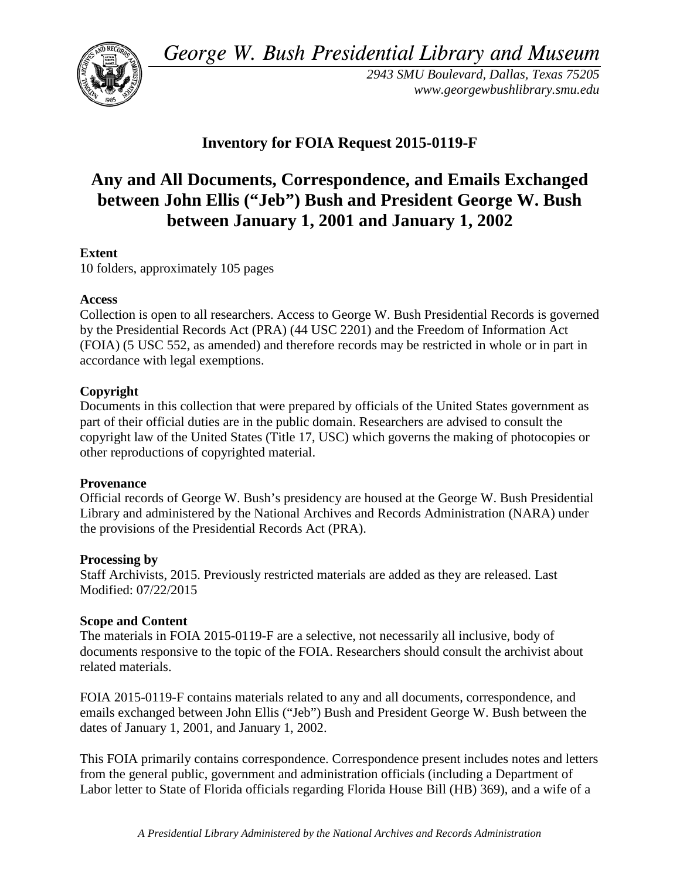*George W. Bush Presidential Library and Museum* 



*2943 SMU Boulevard, Dallas, Texas 75205 <www.georgewbushlibrary.smu.edu>*

## **Inventory for FOIA Request 2015-0119-F**

# **between January 1, 2001 and January 1, 2002 Any and All Documents, Correspondence, and Emails Exchanged between John Ellis ("Jeb") Bush and President George W. Bush**

### **Extent**

10 folders, approximately 105 pages

#### **Access**

 by the Presidential Records Act (PRA) (44 USC 2201) and the Freedom of Information Act Collection is open to all researchers. Access to George W. Bush Presidential Records is governed (FOIA) (5 USC 552, as amended) and therefore records may be restricted in whole or in part in accordance with legal exemptions.

### **Copyright**

 Documents in this collection that were prepared by officials of the United States government as part of their official duties are in the public domain. Researchers are advised to consult the copyright law of the United States (Title 17, USC) which governs the making of photocopies or other reproductions of copyrighted material.

#### **Provenance**

 Official records of George W. Bush's presidency are housed at the George W. Bush Presidential Library and administered by the National Archives and Records Administration (NARA) under the provisions of the Presidential Records Act (PRA).

#### **Processing by**

 Modified: 07/22/2015 Staff Archivists, 2015. Previously restricted materials are added as they are released. Last

#### **Scope and Content**

The materials in FOIA 2015-0119-F are a selective, not necessarily all inclusive, body of documents responsive to the topic of the FOIA. Researchers should consult the archivist about related materials.

FOIA 2015-0119-F contains materials related to any and all documents, correspondence, and emails exchanged between John Ellis ("Jeb") Bush and President George W. Bush between the dates of January 1, 2001, and January 1, 2002.

 Labor letter to State of Florida officials regarding Florida House Bill (HB) 369), and a wife of a This FOIA primarily contains correspondence. Correspondence present includes notes and letters from the general public, government and administration officials (including a Department of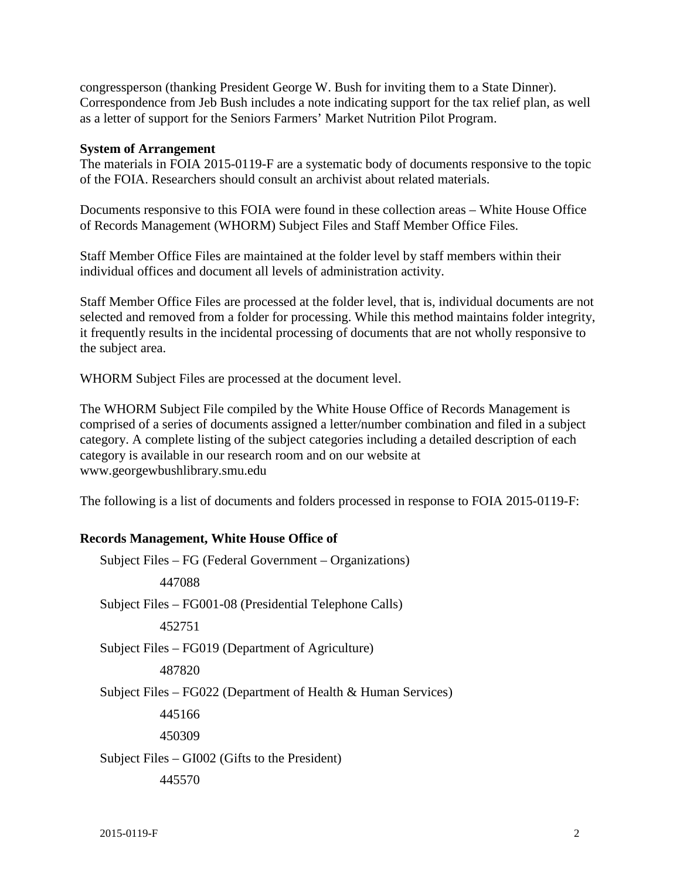congressperson (thanking President George W. Bush for inviting them to a State Dinner). Correspondence from Jeb Bush includes a note indicating support for the tax relief plan, as well as a letter of support for the Seniors Farmers' Market Nutrition Pilot Program.

#### **System of Arrangement**

of the FOIA. Researchers should consult an archivist about related materials. The materials in FOIA 2015-0119-F are a systematic body of documents responsive to the topic

 of Records Management (WHORM) Subject Files and Staff Member Office Files. Documents responsive to this FOIA were found in these collection areas – White House Office

Staff Member Office Files are maintained at the folder level by staff members within their individual offices and document all levels of administration activity.

Staff Member Office Files are processed at the folder level, that is, individual documents are not selected and removed from a folder for processing. While this method maintains folder integrity, it frequently results in the incidental processing of documents that are not wholly responsive to the subject area.

WHORM Subject Files are processed at the document level.

The WHORM Subject File compiled by the White House Office of Records Management is comprised of a series of documents assigned a letter/number combination and filed in a subject category. A complete listing of the subject categories including a detailed description of each category is available in our research room and on our website at <www.georgewbushlibrary.smu.edu>

The following is a list of documents and folders processed in response to FOIA 2015-0119-F:

#### **Records Management, White House Office of**

 Subject Files – FG (Federal Government – Organizations) 447088 Subject Files – FG001-08 (Presidential Telephone Calls) 452751 Subject Files – FG019 (Department of Agriculture) 487820 Subject Files – FG022 (Department of Health & Human Services) 445166 450309 Subject Files – GI002 (Gifts to the President) 445570